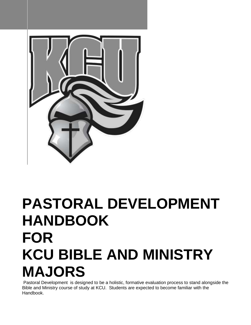

# **PASTORAL DEVELOPMENT HANDBOOK FOR KCU BIBLE AND MINISTRY MAJORS**

Pastoral Development is designed to be a holistic, formative evaluation process to stand alongside the Bible and Ministry course of study at KCU. Students are expected to become familiar with the Handbook.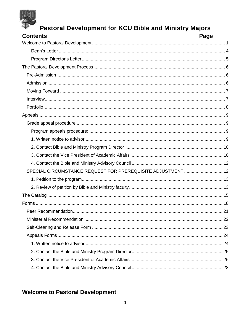| <b>Pastoral Development for KCU Bible and Ministry Majors</b> |      |
|---------------------------------------------------------------|------|
| <b>Contents</b>                                               | Page |
|                                                               |      |
|                                                               |      |
|                                                               |      |
|                                                               |      |
|                                                               |      |
|                                                               |      |
|                                                               |      |
|                                                               |      |
|                                                               |      |
|                                                               |      |
|                                                               |      |
|                                                               |      |
|                                                               |      |
|                                                               |      |
|                                                               |      |
|                                                               |      |
| SPECIAL CIRCUMSTANCE REQUEST FOR PREREQUISITE ADJUSTMENT  12  |      |
|                                                               |      |
|                                                               |      |
|                                                               |      |
|                                                               |      |
|                                                               |      |
|                                                               |      |
|                                                               |      |
|                                                               |      |
|                                                               |      |
|                                                               |      |
|                                                               |      |
|                                                               |      |

# <span id="page-1-0"></span>**Welcome to Pastoral Development**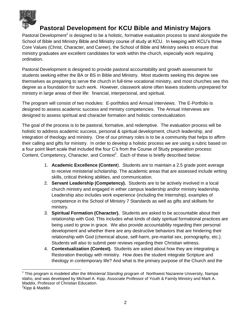

Pastoral Development<sup>1</sup> is designed to be a holistic, formative evaluation process to stand alongside the School of Bible and Ministry Bible and Ministry course of study at KCU. In keeping with KCU's three Core Values (Christ, Character, and Career), the School of Bible and Ministry seeks to ensure that ministry graduates are excellent candidates for work within the church, especially work requiring ordination.

Pastoral Development is designed to provide pastoral accountability and growth assessment for students seeking either the BA or BS in Bible and Ministry. Most students seeking this degree see themselves as preparing to serve the church in full-time vocational ministry, and most churches see this degree as a foundation for such work. However, classwork alone often leaves students unprepared for ministry in large areas of their life: financial, interpersonal, and spiritual.

The program will consist of two modules: E-portfolios and Annual Interviews. The E-Portfolio is designed to assess academic success and ministry competencies. The Annual Interviews are designed to assess spiritual and character formation and holistic contextualization.

The goal of the process is to be pastoral, formative, and redemptive. The evaluation process will be holistic to address academic success, personal & spiritual development, church leadership, and integration of theology and ministry. One of our primary roles is to be a community that helps to affirm their calling and gifts for ministry. In order to develop a holistic process we are using a rubric based on a four point likert scale that included the four C's from the Course of Study preparation process: Content, Competency, Character, and Context<sup>2</sup>. Each of these is briefly described below:

- 1. **Academic Excellence (Content**). Students are to maintain a 2.5 grade point average to receive ministerial scholarship. The academic areas that are assessed include writing skills, critical thinking abilities, and communication.
- 2. **Servant Leadership (Competency).** Students are to be actively involved in a local church ministry and engaged in either campus leadership and/or ministry leadership. Leadership also includes work experience (including the Internship), examples of competence in the School of Ministry 7 Standards as well as gifts and skillsets for ministry.
- 3. **Spiritual Formation (Character).** Students are asked to be accountable about their relationship with God. This includes what kinds of daily spiritual formational practices are being used to grow in grace. We also provide accountability regarding their personal development and whether there are any destructive behaviors that are hindering their relationship with God (chemical abuse, self-harm, pre-marital sex, pornography, etc.). Students will also to submit peer reviews regarding their Christian witness.
- 4. **Contextualization (Context).** Students are asked about how they are integrating a Restoration theology with ministry. How does the student integrate Scripture and theology in contemporary life? And what is the primary purpose of the Church and the

<sup>&</sup>lt;sup>1</sup> This program is modeled after the *Ministerial Standing* program of Northwest Nazarene University, Nampa Idaho, and was developed by Michael A. Kipp, Associate Professor of Youth & Family Ministry and Mark A. Maddix, Professor of Christian Education.

<sup>&</sup>lt;sup>2</sup>Kipp & Maddix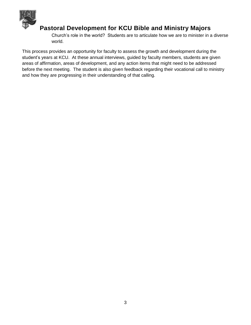

Church's role in the world? Students are to articulate how we are to minister in a diverse world.

This process provides an opportunity for faculty to assess the growth and development during the student's years at KCU. At these annual interviews, guided by faculty members, students are given areas of affirmation, areas of development, and any action items that might need to be addressed before the next meeting. The student is also given feedback regarding their vocational call to ministry and how they are progressing in their understanding of that calling.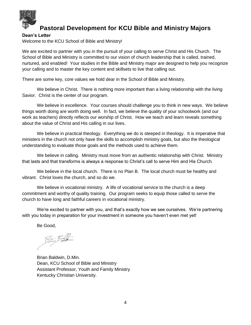

#### <span id="page-4-0"></span>**Dean's Letter**

Welcome to the KCU School of Bible and Ministry!

We are excited to partner with you in the pursuit of your calling to serve Christ and His Church. The School of Bible and Ministry is committed to our vision of church leadership that is called, trained, nurtured, and enabled! Your studies in the Bible and Ministry major are designed to help you recognize your calling and to master the key content and skillsets to live that calling out.

There are some key, core values we hold dear in the School of Bible and Ministry.

We believe in Christ. There is nothing more important than a living relationship with the living Savior. Christ is the center of our program.

We believe in excellence. Your courses should challenge you to think in new ways. We believe things worth doing are worth doing well. In fact, we believe the quality of your schoolwork (and our work as teachers) directly reflects our worship of Christ. How we teach and learn reveals something about the value of Christ and His calling in our lives.

We believe in practical theology. Everything we do is steeped in theology. It is imperative that ministers in the church not only have the skills to accomplish ministry goals, but also the theological understanding to evaluate those goals and the methods used to achieve them.

We believe in calling. Ministry must move from an authentic relationship with Christ. Ministry that lasts and that transforms is always a response to Christ's call to serve Him and His Church.

We believe in the local church. There is no Plan B. The local church must be healthy and vibrant. Christ loves the church, and so do we.

We believe in vocational ministry. A life of vocational service to the church is a deep commitment and worthy of quality training. Our program seeks to equip those called to serve the church to have long and faithful careers in vocational ministry.

We're excited to partner with you, and that's exactly how we see ourselves. We're partnering with you today in preparation for your investment in someone you haven't even met yet!

Be Good,

 $\beta$  ,  $\beta$  ,  $\beta$ 

Brian Baldwin, D.Min. Dean, KCU School of Bible and Ministry Assistant Professor, Youth and Family Ministry Kentucky Christian University.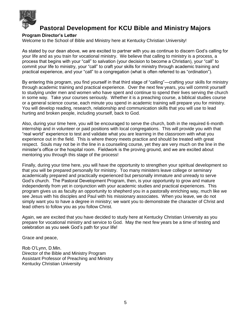

#### <span id="page-5-0"></span>**Program Director's Letter**

Welcome to the School of Bible and Ministry here at Kentucky Christian University!

As stated by our dean above, we are excited to partner with you as continue to discern God's calling for your life and as you train for vocational ministry. We believe that calling to ministry is a process, a process that begins with your "call" to salvation (your decision to become a Christian), your "call" to commit your life to ministry, your "call" to craft your skills for ministry through academic training and practical experience, and your "call" to a congregation (what is often referred to as "ordination").

By entering this program, you find yourself in that third stage of "calling"—crafting your skills for ministry through academic training and practical experience. Over the next few years, you will commit yourself to studying under men and women who have spent and continue to spend their lives serving the church in some way. Take your courses seriously. Whether it is a preaching course, a biblical studies course or a general science course, each minute you spend in academic training will prepare you for ministry. You will develop reading, research, relationship and communication skills that you will use to lead hurting and broken people, including yourself, back to God.

Also, during your time here, you will be encouraged to serve the church, both in the required 6-month internship and in volunteer or paid positions with local congregations. This will provide you with that "real world" experience to test and validate what you are learning in the classroom with what you experience out in the field. This is where theory meets practice and should be treated with great respect. Souls may not be in the line in a counseling course, yet they are very much on the line in the minister's office or the hospital room. Fieldwork is the proving ground, and we are excited about mentoring you through this stage of the process!

Finally, during your time here, you will have the opportunity to strengthen your spiritual development so that you will be prepared personally for ministry. Too many ministers leave college or seminary academically prepared and practically experienced but personally immature and unready to serve God's church. The Pastoral Development Program, then, is your opportunity to grow and mature independently from yet in conjunction with your academic studies and practical experiences. This program gives us as faculty an opportunity to shepherd you in a pastorally enriching way, much like we see Jesus with his disciples and Paul with his missionary associates. When you leave, we do not simply want you to have a degree in ministry; we want you to demonstrate the character of Christ and lead others to follow you as you follow Christ.

Again, we are excited that you have decided to study here at Kentucky Christian University as you prepare for vocational ministry and service to God. May the next few years be a time of testing and celebration as you seek God's path for your life!

Grace and peace,

Rob O'Lynn, D.Min. Director of the Bible and Ministry Program Assistant Professor of Preaching and Ministry Kentucky Christian University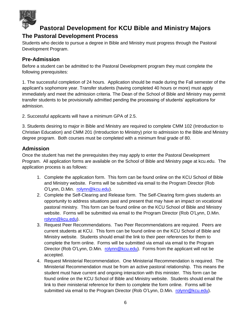

### <span id="page-6-0"></span>**The Pastoral Development Process**

Students who decide to pursue a degree in Bible and Ministry must progress through the Pastoral Development Program.

### <span id="page-6-1"></span>**Pre-Admission**

Before a student can be admitted to the Pastoral Development program they must complete the following prerequisites:

1. The successful completion of 24 hours. Application should be made during the Fall semester of the applicant's sophomore year. Transfer students (having completed 40 hours or more) must apply immediately and meet the admission criteria. The Dean of the School of Bible and Ministry may permit transfer students to be provisionally admitted pending the processing of students' applications for admission.

2. Successful applicants will have a minimum GPA of 2.5.

3. Students desiring to major in Bible and Ministry are required to complete CMM 102 (Introduction to Christian Education) and CMM 201 (Introduction to Ministry) prior to admission to the Bible and Ministry degree program. Both courses must be completed with a minimum final grade of 80.

### <span id="page-6-2"></span>**Admission**

Once the student has met the prerequisites they may apply to enter the Pastoral Development Program. All application forms are available on the School of Bible and Ministry page at kcu.edu. The application process is as follows:

- 1. Complete the application form. This form can be found online on the KCU School of Bible and Ministry website. Forms will be submitted via email to the Program Director (Rob O'Lynn, D.Min. [rolynn@kcu.edu\)](mailto:rolynn@kcu.edu).
- 2. Complete the Self-Clearing and Release form. The Self-Clearing form gives students an opportunity to address situations past and present that may have an impact on vocational pastoral ministry. This form can be found online on the KCU School of Bible and Ministry website. Forms will be submitted via email to the Program Director (Rob O'Lynn, D.Min. [rolynn@kcu.edu\)](mailto:rolynn@kcu.edu).
- 3. Request Peer Recommendations. Two Peer Recommendations are required. Peers are current students at KCU. This form can be found online on the KCU School of Bible and Ministry website. Students should email the link to their peer references for them to complete the form online. Forms will be submitted via email via email to the Program Director (Rob O'Lynn, D.Min. [rolynn@kcu.edu\)](mailto:rolynn@kcu.edu). Forms from the applicant will not be accepted.
- 4. Request Ministerial Recommendation. One Ministerial Recommendation is required. The Ministerial Recommendation must be from an active pastoral relationship. This means the student must have current and ongoing interaction with this minister. This form can be found online on the KCU School of Bible and Ministry website. Students should email the link to their ministerial reference for them to complete the form online. Forms will be submitted via email to the Program Director (Rob O'Lynn, D.Min. [rolynn@kcu.edu\)](mailto:rolynn@kcu.edu).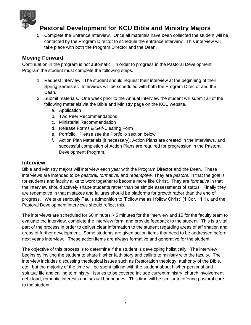

5. Complete the Entrance Interview. Once all materials have been collected the student will be contacted by the Program Director to schedule the entrance interview. This interview will take place with both the Program Director and the Dean.

### <span id="page-7-0"></span>**Moving Forward**

Continuation in the program is not automatic. In order to progress in the Pastoral Development Program the student must complete the following steps.

- 1. Request Interview. The student should request their interview at the beginning of their Spring Semester. Interviews will be scheduled with both the Program Director and the Dean.
- 2. Submit materials. One week prior to the Annual Interview the student will submit all of the following materials via the Bible and Ministry page on the KCU website.
	- a. Application
	- b. Two Peer Recommendations
	- c. Ministerial Recommendation
	- d. Release Forms & Self-Clearing Form
	- e. Portfolio. Please see the Portfolio section below.
	- f. Action Plan Materials (if necessary). Action Plans are created in the interviews, and successful completion of Action Plans are required for progression in the Pastoral Development Program.

### <span id="page-7-1"></span>**Interview**

Bible and Ministry majors will interview each year with the Program Director and the Dean. These interviews are intended to be *pastoral, formative,* and *redemptive.* They are *pastoral* in that the goal is for students and faculty alike to work together to become more like Christ. They are *formative* in that the interview should actively shape students rather than be simple assessments of status. Finally they are redemptive in that mistakes and failures should be platforms for growth rather than the end of progress. We take seriously Paul's admonition to "Follow me as I follow Christ" (1 Cor. 11:1), and the Pastoral Development interviews should reflect this.

The interviews are scheduled for 60 minutes, 45 minutes for the interview and 15 for the faculty team to evaluate the interview, complete the interview form, and provide feedback to the student. This is a vital part of the process in order to deliver clear information to the student regarding areas of affirmation and areas of further development. Some students are given action items that need to be addressed before next year's interview. These action items are always formative and generative for the student.

The objective of this process is to determine if the student is developing holistically. The interview begins by inviting the student to share his/her faith story and calling to ministry with the faculty. The interview includes discussing theological issues such as Restoration theology, authority of the Bible, etc., but the majority of the time will be spent talking with the student about his/her personal and spiritual life and calling to ministry. Issues to be covered include current ministry, church involvement, debt load, romantic interests and sexual boundaries. This time will be similar to offering pastoral care to the student.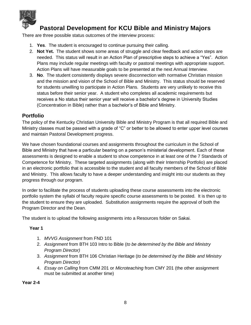

There are three possible status outcomes of the interview process:

- 1. **Yes**. The student is encouraged to continue pursuing their calling.
- 2. **Not Yet.** The student shows some areas of struggle and clear feedback and action steps are needed. This status will result in an Action Plan of prescriptive steps to achieve a "Yes". Action Plans may include regular meetings with faculty or pastoral meetings with appropriate support. Action Plans will have measurable goals to be presented at the next Annual Interview.
- 3. **No**. The student consistently displays severe disconnection with normative Christian mission and the mission and vision of the School of Bible and Ministry. This status should be reserved for students unwilling to participate in Action Plans. Students are very unlikely to receive this status before their senior year. A student who completes all academic requirements but receives a No status their senior year will receive a bachelor's degree in University Studies (Concentration in Bible) rather than a bachelor's of Bible and Ministry.

### <span id="page-8-0"></span>**Portfolio**

The policy of the Kentucky Christian University Bible and Ministry Program is that all required Bible and Ministry classes must be passed with a grade of "C" or better to be allowed to enter upper level courses and maintain Pastoral Development progress.

We have chosen foundational courses and assignments throughout the curriculum in the School of Bible and Ministry that have a particular bearing on a person's ministerial development. Each of these assessments is designed to enable a student to show competence in at least one of the 7 Standards of Competence for Ministry. These targeted assignments (along with their Internship Portfolio) are placed in an electronic portfolio that is accessible to the student and all faculty members of the School of Bible and Ministry. This allows faculty to have a deeper understanding and insight into our students as they progress through our program.

In order to facilitate the process of students uploading these course assessments into the electronic portfolio system the syllabi of faculty require specific course assessments to be posted. It is then up to the student to ensure they are uploaded. Substitution assignments require the approval of both the Program Director and the Dean.

The student is to upload the following assignments into a Resources folder on Sakai.

### **Year 1**

- 1. *MVVG Assignment* from FND 101
- 2. *Assignment* from BTH 103 Intro to Bible (*to be determined by the Bible and Ministry Program Director)*
- 3. *Assignment* from BTH 106 Christian Heritage (*to be determined by the Bible and Ministry Program Director)*
- 4. *Essay on Calling* from CMM 201 or *Microteaching* from CMY 201 (the other assignment must be submitted at another time)

**Year 2-4**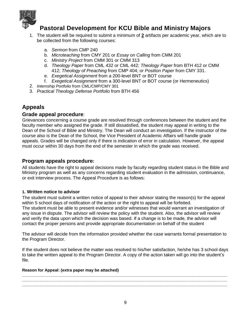

- 1. The student will be required to submit a minimum of **2** artifacts per academic year, which are to be collected from the following courses:
	- a. *Sermon* from CMP 240
	- b. *Microteaching* from CMY 201 or *Essay on Calling* from CMM 201
	- c. *Ministry Project* from CMM 301 or CMM 313
	- d. *Theology Paper* from CML 432 or CML 442; *Theology Paper* from BTH 412 or CMM 412; *Theology of Preaching* from CMP 404; or *Position Paper* from CMY 331.
	- e. *Exegetical Assignment* from a 200-level BNT or BOT course
	- f. *Exegetical Assignment* from a 300-level BNT or BOT course (or Hermeneutics)
- 2. *Internship Portfolio* from CML/CMP/CMY 301
- <span id="page-9-0"></span>3. *Practical Theology Defense Portfolio* from BTH 456

### **Appeals**

### <span id="page-9-1"></span>**Grade appeal procedure**:

Grievances concerning a course grade are resolved through conferences between the student and the faculty member who assigned the grade. If still dissatisfied, the student may appeal in writing to the Dean of the School of Bible and Ministry. The Dean will conduct an investigation. If the instructor of the course also is the Dean of the School, the Vice President of Academic Affairs will handle grade appeals. Grades will be changed only if there is indication of error in calculation. However, the appeal must occur within 30 days from the end of the semester in which the grade was received.

### <span id="page-9-2"></span>**Program appeals procedure:**

All students have the right to appeal decisions made by faculty regarding student status in the Bible and Ministry program as well as any concerns regarding student evaluation in the admission, continuance, or exit interview process. The Appeal Procedure is as follows:

#### <span id="page-9-3"></span>**1. Written notice to advisor**

The student must submit a written notice of appeal to their advisor stating the reason(s) for the appeal within 5 school days of notification of the action or the right to appeal will be forfeited. The student must be able to present evidence and/or witnesses that would warrant an investigation of any issue in dispute. The advisor will review the policy with the student. Also, the advisor will review and verify the data upon which the decision was based. If a change is to be made, the advisor will contact the proper persons and provide appropriate documentation on behalf of the student

The advisor will decide from the information provided whether the case warrants formal presentation to the Program Director.

If the student does not believe the matter was resolved to his/her satisfaction, he/she has 3 school days to take the written appeal to the Program Director. A copy of the action taken will go into the student's file.

**\_\_\_\_\_\_\_\_\_\_\_\_\_\_\_\_\_\_\_\_\_\_\_\_\_\_\_\_\_\_\_\_\_\_\_\_\_\_\_\_\_\_\_\_\_\_\_\_\_\_\_\_\_\_\_\_\_\_\_\_\_\_\_\_\_\_\_\_\_\_\_\_\_\_\_\_\_\_\_\_\_\_\_\_\_\_\_\_\_\_ \_\_\_\_\_\_\_\_\_\_\_\_\_\_\_\_\_\_\_\_\_\_\_\_\_\_\_\_\_\_\_\_\_\_\_\_\_\_\_\_\_\_\_\_\_\_\_\_\_\_\_\_\_\_\_\_\_\_\_\_\_\_\_\_\_\_\_\_\_\_\_\_\_\_\_\_\_\_\_\_\_\_\_\_\_\_\_\_\_\_ \_\_\_\_\_\_\_\_\_\_\_\_\_\_\_\_\_\_\_\_\_\_\_\_\_\_\_\_\_\_\_\_\_\_\_\_\_\_\_\_\_\_\_\_\_\_\_\_\_\_\_\_\_\_\_\_\_\_\_\_\_\_\_\_\_\_\_\_\_\_\_\_\_\_\_\_\_\_\_\_\_\_\_\_\_\_\_\_\_\_**

#### **Reason for Appeal: (extra paper may be attached)**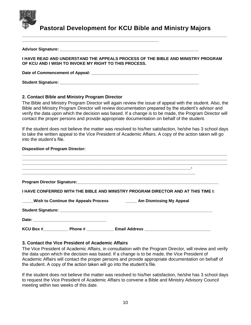

**Advisor Signature: \_\_\_\_\_\_\_\_\_\_\_\_\_\_\_\_\_\_\_\_\_\_\_\_\_\_\_\_\_\_\_\_\_\_\_\_\_\_\_\_\_\_\_\_\_\_\_\_\_\_\_\_\_\_\_\_\_\_\_\_\_** 

**Pastoral Development for KCU Bible and Ministry Majors**

**\_\_\_\_\_\_\_\_\_\_\_\_\_\_\_\_\_\_\_\_\_\_\_\_\_\_\_\_\_\_\_\_\_\_\_\_\_\_\_\_\_\_\_\_\_\_\_\_\_\_\_\_\_\_\_\_\_\_\_\_\_\_\_\_\_\_\_\_\_\_\_\_\_\_\_\_\_\_\_\_\_\_\_\_\_\_\_\_\_\_**

| I HAVE READ AND UNDERSTAND THE APPEALS PROCESS OF THE BIBLE AND MINISTRY PROGRAM<br>OF KCU AND I WISH TO INVOKE MY RIGHT TO THIS PROCESS. |
|-------------------------------------------------------------------------------------------------------------------------------------------|
|                                                                                                                                           |
|                                                                                                                                           |

#### <span id="page-10-0"></span>**2. Contact Bible and Ministry Program Director**

**\_\_\_\_\_\_\_\_\_\_\_\_\_\_\_\_\_\_\_\_\_\_\_\_\_\_\_\_\_\_\_\_\_\_\_\_\_\_\_\_\_\_\_\_\_\_\_\_\_\_\_\_\_\_\_\_\_\_\_\_**

The Bible and Ministry Program Director will again review the issue of appeal with the student. Also, the Bible and Ministry Program Director will review documentation prepared by the student's advisor and verify the data upon which the decision was based. If a change is to be made, the Program Director will contact the proper persons and provide appropriate documentation on behalf of the student.

If the student does not believe the matter was resolved to his/her satisfaction, he/she has 3 school days to take the written appeal to the Vice President of Academic Affairs. A copy of the action taken will go into the student's file.

#### **Disposition of Program Director:**

| I HAVE CONFERRED WITH THE BIBLE AND MINISTRY PROGRAM DIRECTOR AND AT THIS TIME I: |
|-----------------------------------------------------------------------------------|
| _Wish to Continue the Appeals Process ____________ Am Dismissing My Appeal        |
|                                                                                   |
|                                                                                   |
|                                                                                   |

#### <span id="page-10-1"></span>**3. Contact the Vice President of Academic Affairs**

The Vice President of Academic Affairs, in consultation with the Program Director, will review and verify the data upon which the decision was based. If a change is to be made, the Vice President of Academic Affairs will contact the proper persons and provide appropriate documentation on behalf of the student. A copy of the action taken will go into the student's file.

If the student does not believe the matter was resolved to his/her satisfaction, he/she has 3 school days to request the Vice President of Academic Affairs to convene a Bible and Ministry Advisory Council meeting within two weeks of this date.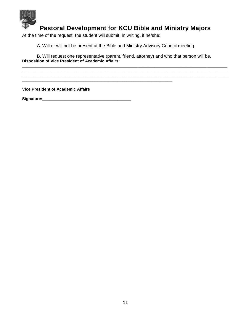

**\_\_\_\_\_\_\_\_\_\_\_\_\_\_\_\_\_\_\_\_\_\_\_\_\_\_\_\_\_\_\_\_\_\_\_\_\_\_\_\_\_\_\_\_\_\_\_\_\_\_\_\_\_\_\_\_\_\_\_\_\_\_\_\_\_\_\_\_\_\_\_\_\_\_\_\_\_\_\_\_\_\_\_\_\_\_\_\_\_\_ \_\_\_\_\_\_\_\_\_\_\_\_\_\_\_\_\_\_\_\_\_\_\_\_\_\_\_\_\_\_\_\_\_\_\_\_\_\_\_\_\_\_\_\_\_\_\_\_\_\_\_\_\_\_\_\_\_\_\_\_\_\_\_\_\_\_\_\_\_\_\_\_\_\_\_\_\_\_\_\_\_\_\_\_\_\_\_\_\_\_ \_\_\_\_\_\_\_\_\_\_\_\_\_\_\_\_\_\_\_\_\_\_\_\_\_\_\_\_\_\_\_\_\_\_\_\_\_\_\_\_\_\_\_\_\_\_\_\_\_\_\_\_\_\_\_\_\_\_\_\_\_\_\_\_\_\_\_\_\_\_\_\_\_\_\_\_\_\_\_\_\_\_\_\_\_\_\_\_\_\_**

At the time of the request, the student will submit, in writing, if he/she:

**\_\_\_\_\_\_\_\_\_\_\_\_\_\_\_\_\_\_\_\_\_\_\_\_\_\_\_\_\_\_\_\_\_\_\_\_\_\_\_\_\_\_\_\_\_\_\_\_\_\_\_\_\_\_\_\_\_\_\_\_\_\_\_\_\_\_**

A. Will or will not be present at the Bible and Ministry Advisory Council meeting.

B. Will request one representative (parent, friend, attorney) and who that person will be. **Disposition of Vice President of Academic Affairs:** 

**Vice President of Academic Affairs**

**Signature:\_\_\_\_\_\_\_\_\_\_\_\_\_\_\_\_\_\_\_\_\_\_\_\_\_\_\_\_\_\_\_\_\_\_\_\_\_\_\_**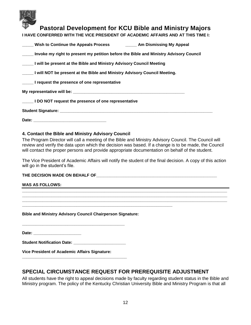|  | I HAVE CONFERRED WITH THE VICE PRESIDENT OF ACADEMIC AFFAIRS AND AT THIS TIME I: |  |  |  |
|--|----------------------------------------------------------------------------------|--|--|--|
|--|----------------------------------------------------------------------------------|--|--|--|

| Wish to Continue the Appeals Process | <b>Am Dismissing My Appeal</b> |
|--------------------------------------|--------------------------------|
|                                      |                                |

**\_\_\_\_\_ Invoke my right to present my petition before the Bible and Ministry Advisory Council** 

**\_\_\_\_\_ I will be present at the Bible and Ministry Advisory Council Meeting** 

**\_\_\_\_\_ I will NOT be present at the Bible and Ministry Advisory Council Meeting.** 

**\_\_\_\_\_ I request the presence of one representative** 

**My representative will be: \_\_\_\_\_\_\_\_\_\_\_\_\_\_\_\_\_\_\_\_\_\_\_\_\_\_\_\_\_\_\_\_\_\_\_\_\_\_\_\_\_\_\_\_\_\_\_\_\_** 

**\_\_\_\_\_ I DO NOT request the presence of one representative** 

Student Signature: **Example 2018** 

**Date: \_\_\_\_\_\_\_\_\_\_\_\_\_\_\_\_\_\_\_\_\_\_\_\_\_\_\_\_\_\_\_\_** 

#### <span id="page-12-0"></span>**4. Contact the Bible and Ministry Advisory Council**

The Program Director will call a meeting of the Bible and Ministry Advisory Council. The Council will review and verify the data upon which the decision was based. If a change is to be made, the Council will contact the proper persons and provide appropriate documentation on behalf of the student.

The Vice President of Academic Affairs will notify the student of the final decision. A copy of this action will go in the student's file.

**\_\_\_\_\_\_\_\_\_\_\_\_\_\_\_\_\_\_\_\_\_\_\_\_\_\_\_\_\_\_\_\_\_\_\_\_\_\_\_\_\_\_\_\_\_\_\_\_\_\_\_\_\_\_\_\_\_\_\_\_\_\_\_\_\_\_\_\_\_\_\_\_\_\_\_\_\_\_\_\_\_\_\_\_\_\_\_\_\_\_ \_\_\_\_\_\_\_\_\_\_\_\_\_\_\_\_\_\_\_\_\_\_\_\_\_\_\_\_\_\_\_\_\_\_\_\_\_\_\_\_\_\_\_\_\_\_\_\_\_\_\_\_\_\_\_\_\_\_\_\_\_\_\_\_\_\_\_\_\_\_\_\_\_\_\_\_\_\_\_\_\_\_\_\_\_\_\_\_\_\_ \_\_\_\_\_\_\_\_\_\_\_\_\_\_\_\_\_\_\_\_\_\_\_\_\_\_\_\_\_\_\_\_\_\_\_\_\_\_\_\_\_\_\_\_\_\_\_\_\_\_\_\_\_\_\_\_\_\_\_\_\_\_\_\_\_\_\_\_\_\_\_\_\_\_\_\_\_\_\_\_\_\_\_\_\_\_\_\_\_\_**

#### THE DECISION MADE ON BEHALF OF **Example 20 and 20 and 20 and 20 and 20 and 20 and 20 and 20 and 20 and 20 and 20 and 20 and 20 and 20 and 20 and 20 and 20 and 20 and 20 and 20 and 20 and 20 and 20 and 20 and 20 and 20 and**

#### **WAS AS FOLLOWS:**

**Bible and Ministry Advisory Council Chairperson Signature:** 

**\_\_\_\_\_\_\_\_\_\_\_\_\_\_\_\_\_\_\_\_\_\_\_\_\_\_\_\_\_\_\_\_\_\_\_\_\_\_\_\_\_\_\_\_\_\_\_\_\_\_\_\_\_\_\_\_\_\_\_\_\_\_\_\_\_\_**

**Date: \_\_\_\_\_\_\_\_\_\_\_\_\_\_\_\_\_\_\_\_\_** 

**Student Notification Date:** 

**\_\_\_\_\_\_\_\_\_\_\_\_\_\_\_\_\_\_\_\_\_\_\_\_\_\_\_\_\_\_\_\_\_\_\_\_\_\_\_\_\_\_\_\_\_\_** 

**\_\_\_\_\_\_\_\_\_\_\_\_\_\_\_\_\_\_\_\_\_\_\_\_\_\_\_\_\_\_\_\_\_\_\_\_\_\_\_\_\_\_\_\_\_** 

**Vice President of Academic Affairs Signature:** 

### <span id="page-12-1"></span>**SPECIAL CIRCUMSTANCE REQUEST FOR PREREQUISITE ADJUSTMENT**

All students have the right to appeal decisions made by faculty regarding student status in the Bible and Ministry program. The policy of the Kentucky Christian University Bible and Ministry Program is that all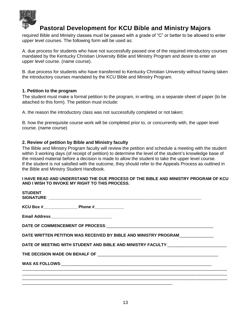

required Bible and Ministry classes must be passed with a grade of "C" or better to be allowed to enter upper level courses. The following form will be used as:

A. due process for students who have not successfully passed one of the required introductory courses mandated by the Kentucky Christian University Bible and Ministry Program and desire to enter an upper level course. (name course).

B. due process for students who have transferred to Kentucky Christian University without having taken the introductory courses mandated by the KCU Bible and Ministry Program.

#### <span id="page-13-0"></span>**1. Petition to the program**

The student must make a formal petition to the program, in writing, on a separate sheet of paper (to be attached to this form). The petition must include:

A. the reason the introductory class was not successfully completed or not taken;

B. how the prerequisite course work will be completed prior to, or concurrently with, the upper level course. (name course)

#### <span id="page-13-1"></span>**2. Review of petition by Bible and Ministry faculty**

The Bible and Ministry Program faculty will review the petition and schedule a meeting with the student within 3 working days (of receipt of petition) to determine the level of the student's knowledge base of the missed material before a decision is made to allow the student to take the upper level course. If the student is not satisfied with the outcome, they should refer to the Appeals Process as outlined in the Bible and Ministry Student Handbook.

#### **I HAVE READ AND UNDERSTAND THE DUE PROCESS OF THE BIBLE AND MINISTRY PROGRAM OF KCU AND I WISH TO INVOKE MY RIGHT TO THIS PROCESS.**

| <b>STUDENT</b> |                                                                                  |  |
|----------------|----------------------------------------------------------------------------------|--|
|                | KCU Box # Phone #                                                                |  |
|                |                                                                                  |  |
|                |                                                                                  |  |
|                | DATE WRITTEN PETITION WAS RECEIVED BY BIBLE AND MINISTRY PROGRAM                 |  |
|                | DATE OF MEETING WITH STUDENT AND BIBLE AND MINISTRY FACULTY:____________________ |  |
|                |                                                                                  |  |
|                |                                                                                  |  |
|                |                                                                                  |  |
|                |                                                                                  |  |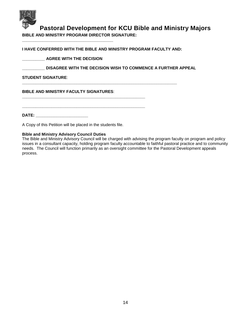

**BIBLE AND MINISTRY PROGRAM DIRECTOR SIGNATURE:** 

**\_\_\_\_\_\_\_\_\_\_\_\_\_\_\_\_\_\_\_\_\_\_\_\_\_\_\_\_\_\_\_\_\_\_\_\_\_\_\_\_\_\_\_\_\_\_\_\_\_\_\_\_\_\_** 

**\_\_\_\_\_\_\_\_\_\_\_\_\_\_\_\_\_\_\_\_\_\_\_\_\_\_\_\_\_\_\_\_\_\_\_\_\_\_\_\_\_\_\_\_\_\_\_\_\_\_\_\_\_\_** 

**I HAVE CONFERRED WITH THE BIBLE AND MINISTRY PROGRAM FACULTY AND:** 

**\_\_\_\_\_\_\_\_\_\_\_\_\_\_\_\_\_\_\_\_\_\_\_\_\_\_\_\_\_\_\_\_\_\_\_\_\_\_\_\_\_\_\_\_\_\_\_\_\_\_\_\_\_\_\_\_\_\_\_\_\_\_\_\_\_\_\_\_** 

**\_\_\_\_\_\_\_\_\_\_ AGREE WITH THE DECISION** 

**\_\_\_\_\_\_\_\_\_\_\_\_\_\_\_\_\_\_\_\_\_\_\_\_\_\_\_\_\_\_\_\_\_\_\_\_\_\_\_\_** 

**\_\_\_\_\_\_\_\_\_\_ DISAGREE WITH THE DECISION WISH TO COMMENCE A FURTHER APPEAL** 

#### **STUDENT SIGNATURE**:

**BIBLE AND MINISTRY FACULTY SIGNATURES**:

**DATE: \_\_\_\_\_\_\_\_\_\_\_\_\_\_\_\_\_\_\_\_\_\_\_** 

A Copy of this Petition will be placed in the students file.

#### **Bible and Ministry Advisory Council Duties**

The Bible and Ministry Advisory Council will be charged with advising the program faculty on program and policy issues in a consultant capacity, holding program faculty accountable to faithful pastoral practice and to community needs. The Council will function primarily as an oversight committee for the Pastoral Development appeals process.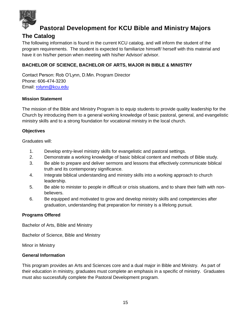

### <span id="page-15-0"></span>**The Catalog**

The following information is found in the current KCU catalog, and will inform the student of the program requirements. The student is expected to familiarize himself/ herself with this material and have it on his/her person when meeting with his/her Advisor/ advisor.

### **BACHELOR OF SCIENCE, BACHELOR OF ARTS, MAJOR IN BIBLE & MINISTRY**

Contact Person: Rob O'Lynn, D.Min. Program Director Phone: 606-474-3230 Email: [rolynn@kcu.edu](mailto:rolynn@kcu.edu)

#### **Mission Statement**

The mission of the Bible and Ministry Program is to equip students to provide quality leadership for the Church by introducing them to a general working knowledge of basic pastoral, general, and evangelistic ministry skills and to a strong foundation for vocational ministry in the local church.

#### **Objectives**

Graduates will:

- 1. Develop entry-level ministry skills for evangelistic and pastoral settings.
- 2. Demonstrate a working knowledge of basic biblical content and methods of Bible study.
- 3. Be able to prepare and deliver sermons and lessons that effectively communicate biblical truth and its contemporary significance.
- 4. Integrate biblical understanding and ministry skills into a working approach to church leadership.
- 5. Be able to minister to people in difficult or crisis situations, and to share their faith with nonbelievers.
- 6. Be equipped and motivated to grow and develop ministry skills and competencies after graduation, understanding that preparation for ministry is a lifelong pursuit.

### **Programs Offered**

Bachelor of Arts, Bible and Ministry

Bachelor of Science, Bible and Ministry

Minor in Ministry

#### **General Information**

This program provides an Arts and Sciences core and a dual major in Bible and Ministry. As part of their education in ministry, graduates must complete an emphasis in a specific of ministry. Graduates must also successfully complete the Pastoral Development program.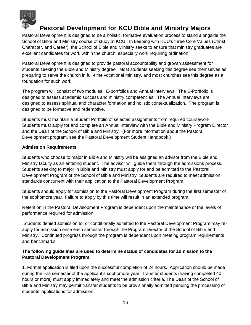

Pastoral Development is designed to be a holistic, formative evaluation process to stand alongside the School of Bible and Ministry course of study at KCU. In keeping with KCU's three Core Values (Christ, Character, and Career), the School of Bible and Ministry seeks to ensure that ministry graduates are excellent candidates for work within the church, especially work requiring ordination.

Pastoral Development is designed to provide pastoral accountability and growth assessment for students seeking the Bible and Ministry degree. Most students seeking this degree see themselves as preparing to serve the church in full-time vocational ministry, and most churches see this degree as a foundation for such work.

The program will consist of two modules: E-portfolios and Annual Interviews. The E-Portfolio is designed to assess academic success and ministry competencies. The Annual Interviews are designed to assess spiritual and character formation and holistic contextualization. The program is designed to be formative and redemptive.

Students must maintain a Student Portfolio of selected assignments from required coursework. Students must apply for and complete an Annual Interview with the Bible and Ministry Program Director and the Dean of the School of Bible and Ministry. (For more information about the Pastoral Development program, see the Pastoral Development Student Handbook.)

### **Admission Requirements**

Students who choose to major in Bible and Ministry will be assigned an advisor from the Bible and Ministry faculty as an entering student. The advisor will guide them through the admissions process. Students seeking to major in Bible and Ministry must apply for and be admitted to the Pastoral Development Program of the School of Bible and Ministry. Students are required to meet admission standards concurrent with their application to the Pastoral Development Program.

Students should apply for admission to the Pastoral Development Program during the first semester of the sophomore year. Failure to apply by this time will result in an extended program.

Retention in the Pastoral Development Program is dependent upon the maintenance of the levels of performance required for admission.

Students denied admission to, or conditionally admitted to the Pastoral Development Program may reapply for admission once each semester through the Program Director of the School of Bible and Ministry. Continued progress through the program is dependent upon meeting program requirements and benchmarks.

### **The following guidelines are used to determine status of candidates for admission to the Pastoral Development Program:**

1. Formal application is filed upon the successful completion of 24 hours. Application should be made during the Fall semester of the applicant's sophomore year. Transfer students (having completed 40 hours or more) must apply immediately and meet the admission criteria. The Dean of the School of Bible and Ministry may permit transfer students to be provisionally admitted pending the processing of students' applications for admission.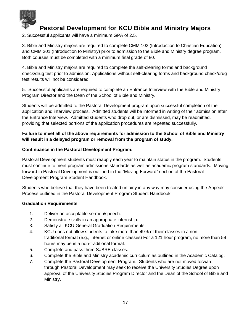

2. Successful applicants will have a minimum GPA of 2.5.

3. Bible and Ministry majors are required to complete CMM 102 (Introduction to Christian Education) and CMM 201 (Introduction to Ministry) prior to admission to the Bible and Ministry degree program. Both courses must be completed with a minimum final grade of 80.

4. Bible and Ministry majors are required to complete the self-clearing forms and background check/drug test prior to admission. Applications without self-clearing forms and background check/drug test results will not be considered.

5. Successful applicants are required to complete an Entrance Interview with the Bible and Ministry Program Director and the Dean of the School of Bible and Ministry.

Students will be admitted to the Pastoral Development program upon successful completion of the application and interview process. Admitted students will be informed in writing of their admission after the Entrance Interview. Admitted students who drop out, or are dismissed, may be readmitted, providing that selected portions of the application procedures are repeated successfully.

### **Failure to meet all of the above requirements for admission to the School of Bible and Ministry will result in a delayed program or removal from the program of study.**

#### **Continuance in the Pastoral Development Program:**

Pastoral Development students must reapply each year to maintain status in the program. Students must continue to meet program admissions standards as well as academic program standards. Moving forward in Pastoral Development is outlined in the "Moving Forward" section of the Pastoral Development Program Student Handbook.

Students who believe that they have been treated unfairly in any way may consider using the Appeals Process outlined in the Pastoral Development Program Student Handbook.

#### **Graduation Requirements**

- 1. Deliver an acceptable sermon/speech.
- 2. Demonstrate skills in an appropriate internship.
- 3. Satisfy all KCU General Graduation Requirements.
- 4. KCU does not allow students to take more than 49% of their classes in a nontraditional format (e.g., internet or online classes) For a 121 hour program, no more than 59 hours may be in a non-traditional format.
- 5. Complete and pass three SaBRE classes.
- 6. Complete the Bible and Ministry academic curriculum as outlined in the Academic Catalog.
- 7. Complete the Pastoral Development Program. Students who are not moved forward through Pastoral Development may seek to receive the University Studies Degree upon approval of the University Studies Program Director and the Dean of the School of Bible and Ministry.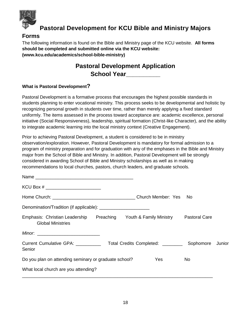

### <span id="page-18-0"></span>**Forms**

The following information is found on the Bible and Ministry page of the KCU website. **All forms should be completed and submitted online via the KCU website: (www.kcu.edu/academics/school-bible-ministry)**

# **Pastoral Development Application School Year\_\_\_\_\_\_\_\_\_\_**

### **What is Pastoral Development?**

Pastoral Development is a formative process that encourages the highest possible standards in students planning to enter vocational ministry. This process seeks to be developmental and holistic by recognizing personal growth in students over time, rather than merely applying a fixed standard uniformly. The items assessed in the process toward acceptance are: academic excellence, personal initiative (Social Responsiveness), leadership, spiritual formation (Christ-like Character), and the ability to integrate academic learning into the local ministry context (Creative Engagement).

Prior to achieving Pastoral Development, a student is considered to be in ministry observation/exploration. However, Pastoral Development is mandatory for formal admission to a program of ministry preparation and for graduation with any of the emphases in the Bible and Ministry major from the School of Bible and Ministry. In addition, Pastoral Development will be strongly considered in awarding School of Bible and Ministry scholarships as well as in making recommendations to local churches, pastors, church leaders, and graduate schools.

| KCU Box #                                                                                                  |     |           |        |
|------------------------------------------------------------------------------------------------------------|-----|-----------|--------|
|                                                                                                            |     |           |        |
|                                                                                                            |     |           |        |
| Emphasis: Christian Leadership Preaching Youth & Family Ministry Pastoral Care<br><b>Global Ministries</b> |     |           |        |
|                                                                                                            |     |           |        |
| Current Cumulative GPA: ____________ Total Credits Completed: ________<br>Senior                           |     | Sophomore | Junior |
| Do you plan on attending seminary or graduate school?                                                      | Yes | No.       |        |
| What local church are you attending?                                                                       |     |           |        |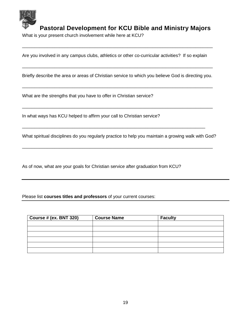

What is your present church involvement while here at KCU?

Are you involved in any campus clubs, athletics or other co-curricular activities? If so explain

\_\_\_\_\_\_\_\_\_\_\_\_\_\_\_\_\_\_\_\_\_\_\_\_\_\_\_\_\_\_\_\_\_\_\_\_\_\_\_\_\_\_\_\_\_\_\_\_\_\_\_\_\_\_\_\_\_\_\_\_\_\_\_\_\_\_\_\_\_\_\_\_\_\_\_\_

Briefly describe the area or areas of Christian service to which you believe God is directing you.

\_\_\_\_\_\_\_\_\_\_\_\_\_\_\_\_\_\_\_\_\_\_\_\_\_\_\_\_\_\_\_\_\_\_\_\_\_\_\_\_\_\_\_\_\_\_\_\_\_\_\_\_\_\_\_\_\_\_\_\_\_\_\_\_\_\_\_\_\_\_\_\_\_\_\_\_

\_\_\_\_\_\_\_\_\_\_\_\_\_\_\_\_\_\_\_\_\_\_\_\_\_\_\_\_\_\_\_\_\_\_\_\_\_\_\_\_\_\_\_\_\_\_\_\_\_\_\_\_\_\_\_\_\_\_\_\_\_\_\_\_\_\_\_\_\_\_\_\_\_\_\_\_

\_\_\_\_\_\_\_\_\_\_\_\_\_\_\_\_\_\_\_\_\_\_\_\_\_\_\_\_\_\_\_\_\_\_\_\_\_\_\_\_\_\_\_\_\_\_\_\_\_\_\_\_\_\_\_\_\_\_\_\_\_\_\_\_\_\_\_\_\_\_\_\_\_\_\_\_

What are the strengths that you have to offer in Christian service?

In what ways has KCU helped to affirm your call to Christian service?

What spiritual disciplines do you regularly practice to help you maintain a growing walk with God?

\_\_\_\_\_\_\_\_\_\_\_\_\_\_\_\_\_\_\_\_\_\_\_\_\_\_\_\_\_\_\_\_\_\_\_\_\_\_\_\_\_\_\_\_\_\_\_\_\_\_\_\_\_\_\_\_\_\_\_\_\_\_\_\_\_\_\_\_\_\_\_\_\_\_\_\_

\_\_\_\_\_\_\_\_\_\_\_\_\_\_\_\_\_\_\_\_\_\_\_\_\_\_\_\_\_\_\_\_\_\_\_\_\_\_\_\_\_\_\_\_\_\_\_\_\_\_\_\_\_\_\_\_\_\_\_\_\_\_\_\_\_\_\_\_\_\_\_\_\_

As of now, what are your goals for Christian service after graduation from KCU?

Please list **courses titles and professors** of your current courses:

| Course # (ex. BNT 320) | <b>Course Name</b> | <b>Faculty</b> |
|------------------------|--------------------|----------------|
|                        |                    |                |
|                        |                    |                |
|                        |                    |                |
|                        |                    |                |
|                        |                    |                |
|                        |                    |                |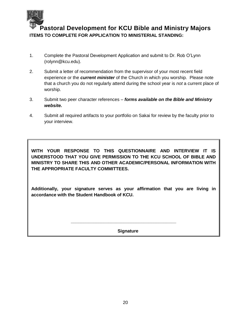

**Pastoral Development for KCU Bible and Ministry Majors ITEMS TO COMPLETE FOR APPLICATION TO MINISTERIAL STANDING:**

- 1. Complete the Pastoral Development Application and submit to Dr. Rob O'Lynn (rolynn@kcu.edu).
- 2. Submit a letter of recommendation from the supervisor of your most recent field experience or the *current minister* of the Church in which you worship. Please note that a church you do not regularly attend during the school year is *not* a current place of worship.
- 3. Submit two peer character references *forms available on the Bible and Ministry website.*
- 4. Submit all required artifacts to your portfolio on Sakai for review by the faculty prior to your interview.

**WITH YOUR RESPONSE TO THIS QUESTIONNAIRE AND INTERVIEW IT IS UNDERSTOOD THAT YOU GIVE PERMISSION TO THE KCU SCHOOL OF BIBLE AND MINISTRY TO SHARE THIS AND OTHER ACADEMIC/PERSONAL INFORMATION WITH THE APPROPRIATE FACULTY COMMITTEES.**

**Additionally, your signature serves as your affirmation that you are living in accordance with the Student Handbook of KCU.**

**\_\_\_\_\_\_\_\_\_\_\_\_\_\_\_\_\_\_\_\_\_\_\_\_\_\_\_\_\_\_\_\_\_\_\_\_\_\_\_\_\_\_**

 **Signature**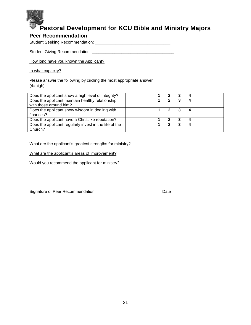

### <span id="page-21-0"></span>**Peer Recommendation**

Student Seeking Recommendation: \_\_\_\_\_\_\_\_\_\_\_\_\_\_\_\_\_\_\_\_\_\_\_\_\_\_\_\_\_\_\_\_\_

Student Giving Recommendation: \_\_\_\_\_\_\_\_\_\_\_\_\_\_\_\_\_\_\_\_\_\_\_\_\_\_\_\_\_\_\_\_\_\_\_\_

How long have you known the Applicant?

In what capacity?

Please answer the following by circling the most appropriate answer  $(4=high)$ 

| Does the applicant show a high level of integrity?     | 2                           |                         |   |  |
|--------------------------------------------------------|-----------------------------|-------------------------|---|--|
| Does the applicant maintain healthy relationship       | $\mathbf{p}$                | $\overline{\mathbf{3}}$ | 4 |  |
| with those around him?                                 |                             |                         |   |  |
| Does the applicant show wisdom in dealing with         | $1 \quad 2 \quad 3 \quad 4$ |                         |   |  |
| finances?                                              |                             |                         |   |  |
| Does the applicant have a Christlike reputation?       |                             | 2 3 4                   |   |  |
| Does the applicant regularly invest in the life of the | $\mathbf{P}$                |                         |   |  |
| Church?                                                |                             |                         |   |  |

\_\_\_\_\_\_\_\_\_\_\_\_\_\_\_\_\_\_\_\_\_\_\_\_\_\_\_\_\_\_\_\_\_\_\_\_\_\_\_\_\_\_\_\_\_\_ \_\_\_\_\_\_\_\_\_\_\_\_\_\_\_\_\_\_\_\_\_\_\_\_\_\_

What are the applicant's greatest strengths for ministry?

What are the applicant's areas of improvement?

Would you recommend the applicant for ministry?

Signature of Peer Recommendation Date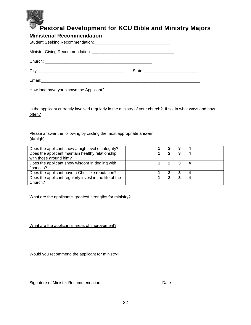

### <span id="page-22-0"></span>**Ministerial Recommendation**

How long have you known the Applicant?

Is the applicant currently involved regularly in the ministry of your church? If so, in what ways and how often?

Please answer the following by circling the most appropriate answer  $(4=high)$ 

| Does the applicant show a high level of integrity?     |              |                             |  |
|--------------------------------------------------------|--------------|-----------------------------|--|
| Does the applicant maintain healthy relationship       | 2            |                             |  |
| with those around him?                                 |              |                             |  |
| Does the applicant show wisdom in dealing with         |              | $1 \quad 2 \quad 3 \quad 4$ |  |
| finances?                                              |              |                             |  |
| Does the applicant have a Christlike reputation?       | 2 3          |                             |  |
| Does the applicant regularly invest in the life of the | $\mathbf{P}$ |                             |  |
| Church?                                                |              |                             |  |

What are the applicant's greatest strengths for ministry?

What are the applicant's areas of improvement?

Would you recommend the applicant for ministry?

Signature of Minister Recommendation **Date** Date

\_\_\_\_\_\_\_\_\_\_\_\_\_\_\_\_\_\_\_\_\_\_\_\_\_\_\_\_\_\_\_\_\_\_\_\_\_\_\_\_\_\_\_\_\_\_ \_\_\_\_\_\_\_\_\_\_\_\_\_\_\_\_\_\_\_\_\_\_\_\_\_\_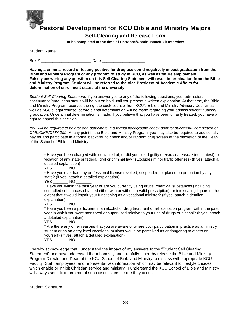

**Self-Clearing and Release Form**

**to be completed at the time of Entrance/Continuance/Exit Interview** 

<span id="page-23-0"></span>

| <b>Student Name:</b> |     |
|----------------------|-----|
|                      |     |
| Box a                | 1^+ |

**Having a criminal record or testing positive for drug use could negatively impact graduation from the Bible and Ministry Program or any program of study at KCU, as well as future employment**. **Falsely answering any question on this Self Clearing Statement will result in termination from the Bible and Ministry Program. Student will be referred to the Vice President of Academic Affairs for determination of enrollment status at the university.** 

*Student Self Clearing Statement:* If you answer yes to any of the following questions, your admission/ continuance/graduation status will be put on hold until you present a written explanation. At that time, the Bible and Ministry Program reserves the right to seek counsel from KCU's Bible and Ministry Advisory Council as well as KCU's legal counsel before a final determination will be made regarding your admission/continuance/ graduation. Once a final determination is made, if you believe that you have been unfairly treated, you have a right to appeal this decision.

*You will be required to pay for and participate in a formal background check prior for successful completion of CML/CMP/CMY 299.* At any point in the Bible and Ministry Program, you may also be required to additionally pay for and participate in a formal background check and/or random drug screen at the discretion of the Dean of the School of Bible and Ministry.

\* Have you been charged with, convicted of, or did you plead guilty or *nolo contendere* (no contest) to violation of any state or federal, civil or criminal law? (Excludes minor traffic offenses) (If yes, attach a detailed explanation)

YES NO

\* Have you ever had any professional license revoked, suspended, or placed on probation by any state? (if yes, attach a detailed explanation)

YES NO

\* Have you within the past year or are you currently using drugs, chemical substances (including controlled substances obtained either with or without a valid prescription), or intoxicating liquors to the extent that it would impair your functioning as a vocational minister? (If yes, attach a detailed explanation)

YES NO

\* Have you been a participant in an alcohol or drug treatment or rehabilitation program within the past year in which you were monitored or supervised relative to your use of drugs or alcohol? (if yes, attach a detailed explanation)

#### YES \_\_\_\_\_\_\_\_\_ NO

\* Are there any other reasons that you are aware of where your participation in practice as a ministry student or as an entry level vocational minister would be perceived as endangering to others or yourself? (If yes, attach a detailed explanation)

YES \_\_\_\_\_\_\_ NO \_\_\_\_\_\_\_

\_\_\_\_\_\_\_\_\_\_\_\_\_\_\_\_\_\_\_\_\_\_\_\_\_\_\_\_\_\_\_\_\_\_\_\_\_\_\_\_\_\_\_\_\_

I hereby acknowledge that I understand the impact of my answers to the "Student Self Clearing Statement" and have addressed them honestly and truthfully. I hereby release the Bible and Ministry Program Director and Dean of the KCU School of Bible and Ministry to discuss with appropriate KCU Faculty, Staff, employees, and representatives information which may be relevant to lifestyle choices which enable or inhibit Christian service and ministry. I understand the KCU School of Bible and Ministry will always seek to inform me of such discussions before they occur.

Student Signature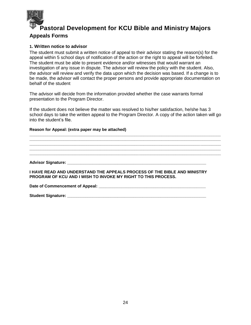

### <span id="page-24-0"></span>**Appeals Forms**

### <span id="page-24-1"></span>**1. Written notice to advisor**

The student must submit a written notice of appeal to their advisor stating the reason(s) for the appeal within 5 school days of notification of the action or the right to appeal will be forfeited. The student must be able to present evidence and/or witnesses that would warrant an investigation of any issue in dispute. The advisor will review the policy with the student. Also, the advisor will review and verify the data upon which the decision was based. If a change is to be made, the advisor will contact the proper persons and provide appropriate documentation on behalf of the student

The advisor will decide from the information provided whether the case warrants formal presentation to the Program Director.

If the student does not believe the matter was resolved to his/her satisfaction, he/she has 3 school days to take the written appeal to the Program Director. A copy of the action taken will go into the student's file.

**\_\_\_\_\_\_\_\_\_\_\_\_\_\_\_\_\_\_\_\_\_\_\_\_\_\_\_\_\_\_\_\_\_\_\_\_\_\_\_\_\_\_\_\_\_\_\_\_\_\_\_\_\_\_\_\_\_\_\_\_\_\_\_\_\_\_\_\_\_\_\_\_\_\_\_\_\_\_\_\_\_\_\_\_ \_\_\_\_\_\_\_\_\_\_\_\_\_\_\_\_\_\_\_\_\_\_\_\_\_\_\_\_\_\_\_\_\_\_\_\_\_\_\_\_\_\_\_\_\_\_\_\_\_\_\_\_\_\_\_\_\_\_\_\_\_\_\_\_\_\_\_\_\_\_\_\_\_\_\_\_\_\_\_\_\_\_\_\_ \_\_\_\_\_\_\_\_\_\_\_\_\_\_\_\_\_\_\_\_\_\_\_\_\_\_\_\_\_\_\_\_\_\_\_\_\_\_\_\_\_\_\_\_\_\_\_\_\_\_\_\_\_\_\_\_\_\_\_\_\_\_\_\_\_\_\_\_\_\_\_\_\_\_\_\_\_\_\_\_\_\_\_\_ \_\_\_\_\_\_\_\_\_\_\_\_\_\_\_\_\_\_\_\_\_\_\_\_\_\_\_\_\_\_\_\_\_\_\_\_\_\_\_\_\_\_\_\_\_\_\_\_\_\_\_\_\_\_\_\_\_\_\_\_\_\_\_\_\_\_\_\_\_\_\_\_\_\_\_\_\_\_\_\_\_\_\_\_ \_\_\_\_\_\_\_\_\_\_\_\_\_\_\_\_\_\_\_\_\_\_\_\_\_\_\_\_\_\_\_\_\_\_\_\_\_\_\_\_\_\_\_\_\_\_\_\_\_\_\_\_\_\_\_\_\_\_\_\_\_\_\_\_\_\_\_\_\_\_\_\_\_\_\_\_\_\_\_\_\_\_\_\_**

#### **Reason for Appeal: (extra paper may be attached)**

**Advisor Signature: \_\_\_\_\_\_\_\_\_\_\_\_\_\_\_\_\_\_\_\_\_\_\_\_\_\_\_\_\_\_\_\_\_\_\_\_\_\_\_\_\_\_\_\_\_\_\_\_\_\_\_\_\_\_\_\_\_\_\_\_\_** 

**I HAVE READ AND UNDERSTAND THE APPEALS PROCESS OF THE BIBLE AND MINISTRY PROGRAM OF KCU AND I WISH TO INVOKE MY RIGHT TO THIS PROCESS.** 

Date of Commencement of Appeal: **Date of Linear 2006** 

**Student Signature: \_\_\_\_\_\_\_\_\_\_\_\_\_\_\_\_\_\_\_\_\_\_\_\_\_\_\_\_\_\_\_\_\_\_\_\_\_\_\_\_\_\_\_\_\_\_\_\_\_\_\_\_\_\_\_\_\_\_\_\_\_**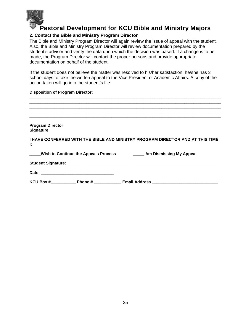

### <span id="page-25-0"></span>**2. Contact the Bible and Ministry Program Director**

The Bible and Ministry Program Director will again review the issue of appeal with the student. Also, the Bible and Ministry Program Director will review documentation prepared by the student's advisor and verify the data upon which the decision was based. If a change is to be made, the Program Director will contact the proper persons and provide appropriate documentation on behalf of the student.

If the student does not believe the matter was resolved to his/her satisfaction, he/she has 3 school days to take the written appeal to the Vice President of Academic Affairs. A copy of the action taken will go into the student's file.

#### **Disposition of Program Director:**

| <b>Program Director</b>                                                             |
|-------------------------------------------------------------------------------------|
| I HAVE CONFERRED WITH THE BIBLE AND MINISTRY PROGRAM DIRECTOR AND AT THIS TIME<br>Ŀ |
| Wish to Continue the Appeals Process Table 2014 Am Dismissing My Appeal             |
|                                                                                     |
|                                                                                     |
| KCU Box # Phone # Email Address                                                     |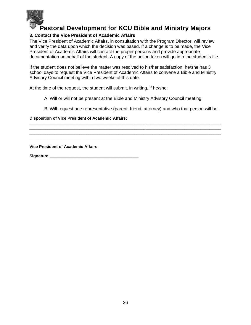

### <span id="page-26-0"></span>**3. Contact the Vice President of Academic Affairs**

The Vice President of Academic Affairs, in consultation with the Program Director, will review and verify the data upon which the decision was based. If a change is to be made, the Vice President of Academic Affairs will contact the proper persons and provide appropriate documentation on behalf of the student. A copy of the action taken will go into the student's file.

If the student does not believe the matter was resolved to his/her satisfaction, he/she has 3 school days to request the Vice President of Academic Affairs to convene a Bible and Ministry Advisory Council meeting within two weeks of this date.

At the time of the request, the student will submit, in writing, if he/she:

A. Will or will not be present at the Bible and Ministry Advisory Council meeting.

**\_\_\_\_\_\_\_\_\_\_\_\_\_\_\_\_\_\_\_\_\_\_\_\_\_\_\_\_\_\_\_\_\_\_\_\_\_\_\_\_\_\_\_\_\_\_\_\_\_\_\_\_\_\_\_\_\_\_\_\_\_\_\_\_\_\_\_\_\_\_\_\_\_\_\_\_\_\_\_\_\_\_\_\_ \_\_\_\_\_\_\_\_\_\_\_\_\_\_\_\_\_\_\_\_\_\_\_\_\_\_\_\_\_\_\_\_\_\_\_\_\_\_\_\_\_\_\_\_\_\_\_\_\_\_\_\_\_\_\_\_\_\_\_\_\_\_\_\_\_\_\_\_\_\_\_\_\_\_\_\_\_\_\_\_\_\_\_\_ \_\_\_\_\_\_\_\_\_\_\_\_\_\_\_\_\_\_\_\_\_\_\_\_\_\_\_\_\_\_\_\_\_\_\_\_\_\_\_\_\_\_\_\_\_\_\_\_\_\_\_\_\_\_\_\_\_\_\_\_\_\_\_\_\_\_\_\_\_\_\_\_\_\_\_\_\_\_\_\_\_\_\_\_ \_\_\_\_\_\_\_\_\_\_\_\_\_\_\_\_\_\_\_\_\_\_\_\_\_\_\_\_\_\_\_\_\_\_\_\_\_\_\_\_\_\_\_\_\_\_\_\_\_\_\_\_\_\_\_\_\_\_\_\_\_\_\_\_\_\_\_\_\_\_\_\_\_\_\_\_\_\_\_\_\_\_\_\_**

B. Will request one representative (parent, friend, attorney) and who that person will be.

**Disposition of Vice President of Academic Affairs:** 

**Vice President of Academic Affairs**

**Signature:\_\_\_\_\_\_\_\_\_\_\_\_\_\_\_\_\_\_\_\_\_\_\_\_\_\_\_\_\_\_\_\_\_\_\_\_\_\_\_**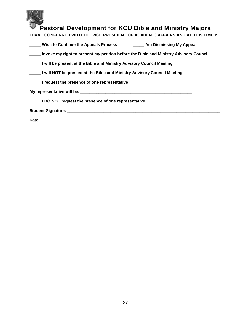

| <b>Wish to Continue the Appeals Process</b> | Am Dismissing My Appeal |
|---------------------------------------------|-------------------------|
|                                             |                         |

**\_\_\_\_\_ Invoke my right to present my petition before the Bible and Ministry Advisory Council** 

**\_\_\_\_\_ I will be present at the Bible and Ministry Advisory Council Meeting** 

**\_\_\_\_\_ I will NOT be present at the Bible and Ministry Advisory Council Meeting.** 

**\_\_\_\_\_ I request the presence of one representative** 

**My representative will be: \_\_\_\_\_\_\_\_\_\_\_\_\_\_\_\_\_\_\_\_\_\_\_\_\_\_\_\_\_\_\_\_\_\_\_\_\_\_\_\_\_\_\_\_\_\_\_\_\_** 

**\_\_\_\_\_ I DO NOT request the presence of one representative** 

**Student Signature: \_\_\_\_\_\_\_\_\_\_\_\_\_\_\_\_\_\_\_\_\_\_\_\_\_\_\_\_\_\_\_\_\_\_\_\_\_\_\_\_\_\_\_\_\_\_\_\_\_\_\_\_\_\_\_\_\_\_\_\_\_\_\_\_\_\_\_** 

**Date: \_\_\_\_\_\_\_\_\_\_\_\_\_\_\_\_\_\_\_\_\_\_\_\_\_\_\_\_\_\_\_\_**